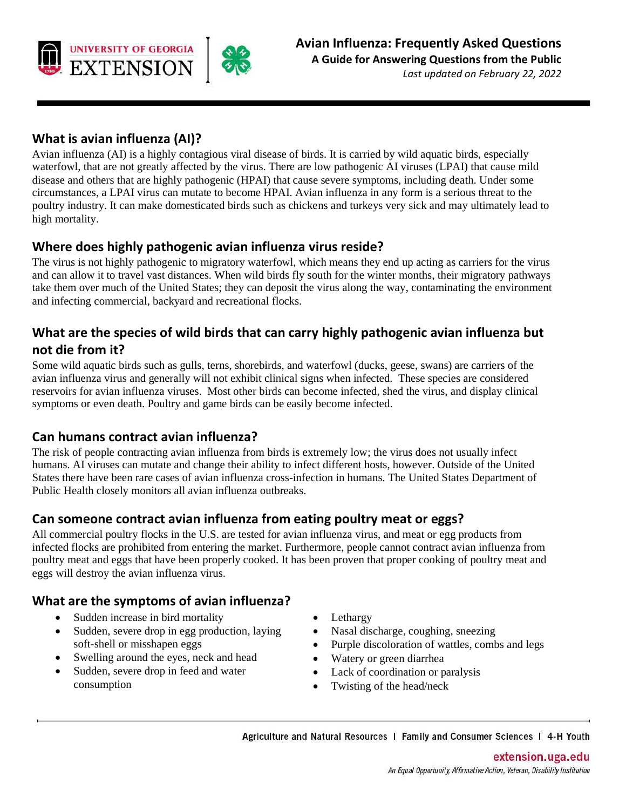

# **What is avian influenza (AI)?**

Avian influenza (AI) is a highly contagious viral disease of birds. It is carried by wild aquatic birds, especially waterfowl, that are not greatly affected by the virus. There are low pathogenic AI viruses (LPAI) that cause mild disease and others that are highly pathogenic (HPAI) that cause severe symptoms, including death. Under some circumstances, a LPAI virus can mutate to become HPAI. Avian influenza in any form is a serious threat to the poultry industry. It can make domesticated birds such as chickens and turkeys very sick and may ultimately lead to high mortality.

### **Where does highly pathogenic avian influenza virus reside?**

The virus is not highly pathogenic to migratory waterfowl, which means they end up acting as carriers for the virus and can allow it to travel vast distances. When wild birds fly south for the winter months, their migratory pathways take them over much of the United States; they can deposit the virus along the way, contaminating the environment and infecting commercial, backyard and recreational flocks.

### **What are the species of wild birds that can carry highly pathogenic avian influenza but not die from it?**

Some wild aquatic birds such as gulls, terns, shorebirds, and waterfowl (ducks, geese, swans) are carriers of the avian influenza virus and generally will not exhibit clinical signs when infected. These species are considered reservoirs for avian influenza viruses. Most other birds can become infected, shed the virus, and display clinical symptoms or even death. Poultry and game birds can be easily become infected.

#### **Can humans contract avian influenza?**

The risk of people contracting avian influenza from birds is extremely low; the virus does not usually infect humans. AI viruses can mutate and change their ability to infect different hosts, however. Outside of the United States there have been rare cases of avian influenza cross-infection in humans. The United States Department of Public Health closely monitors all avian influenza outbreaks.

#### **Can someone contract avian influenza from eating poultry meat or eggs?**

All commercial poultry flocks in the U.S. are tested for avian influenza virus, and meat or egg products from infected flocks are prohibited from entering the market. Furthermore, people cannot contract avian influenza from poultry meat and eggs that have been properly cooked. It has been proven that proper cooking of poultry meat and eggs will destroy the avian influenza virus.

### **What are the symptoms of avian influenza?**

- Sudden increase in bird mortality
- Sudden, severe drop in egg production, laying soft-shell or misshapen eggs
- Swelling around the eyes, neck and head
- Sudden, severe drop in feed and water consumption
- **Lethargy**
- Nasal discharge, coughing, sneezing
- Purple discoloration of wattles, combs and legs
- Watery or green diarrhea
- Lack of coordination or paralysis
- Twisting of the head/neck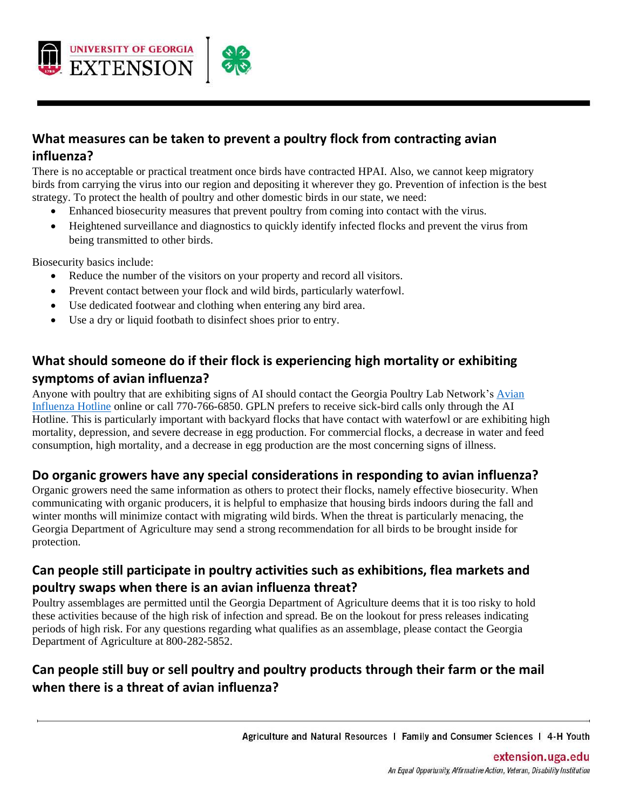

# **What measures can be taken to prevent a poultry flock from contracting avian influenza?**

There is no acceptable or practical treatment once birds have contracted HPAI. Also, we cannot keep migratory birds from carrying the virus into our region and depositing it wherever they go. Prevention of infection is the best strategy. To protect the health of poultry and other domestic birds in our state, we need:

- Enhanced biosecurity measures that prevent poultry from coming into contact with the virus.
- Heightened surveillance and diagnostics to quickly identify infected flocks and prevent the virus from being transmitted to other birds.

Biosecurity basics include:

- Reduce the number of the visitors on your property and record all visitors.
- Prevent contact between your flock and wild birds, particularly waterfowl.
- Use dedicated footwear and clothing when entering any bird area.
- Use a dry or liquid footbath to disinfect shoes prior to entry.

# **What should someone do if their flock is experiencing high mortality or exhibiting symptoms of avian influenza?**

Anyone with poultry that are exhibiting signs of AI should contact the Georgia Poultry Lab Network'[s Avian](https://www.gapoultrylab.org/avian-influenza-hotline/)  [Influenza Hotline](https://www.gapoultrylab.org/avian-influenza-hotline/) online or call 770-766-6850. GPLN prefers to receive sick-bird calls only through the AI Hotline. This is particularly important with backyard flocks that have contact with waterfowl or are exhibiting high mortality, depression, and severe decrease in egg production. For commercial flocks, a decrease in water and feed consumption, high mortality, and a decrease in egg production are the most concerning signs of illness.

### **Do organic growers have any special considerations in responding to avian influenza?**

Organic growers need the same information as others to protect their flocks, namely effective biosecurity. When communicating with organic producers, it is helpful to emphasize that housing birds indoors during the fall and winter months will minimize contact with migrating wild birds. When the threat is particularly menacing, the Georgia Department of Agriculture may send a strong recommendation for all birds to be brought inside for protection.

### **Can people still participate in poultry activities such as exhibitions, flea markets and poultry swaps when there is an avian influenza threat?**

Poultry assemblages are permitted until the Georgia Department of Agriculture deems that it is too risky to hold these activities because of the high risk of infection and spread. Be on the lookout for press releases indicating periods of high risk. For any questions regarding what qualifies as an assemblage, please contact the Georgia Department of Agriculture at 800-282-5852.

# **Can people still buy or sell poultry and poultry products through their farm or the mail when there is a threat of avian influenza?**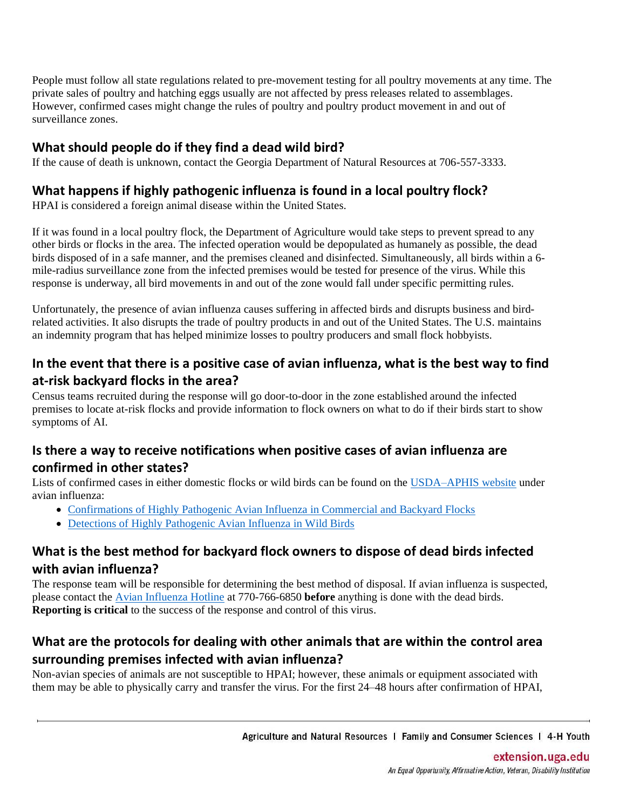People must follow all state regulations related to pre-movement testing for all poultry movements at any time. The private sales of poultry and hatching eggs usually are not affected by press releases related to assemblages. However, confirmed cases might change the rules of poultry and poultry product movement in and out of surveillance zones.

# **What should people do if they find a dead wild bird?**

If the cause of death is unknown, contact the Georgia Department of Natural Resources at 706-557-3333.

### **What happens if highly pathogenic influenza is found in a local poultry flock?**

HPAI is considered a foreign animal disease within the United States.

If it was found in a local poultry flock, the Department of Agriculture would take steps to prevent spread to any other birds or flocks in the area. The infected operation would be depopulated as humanely as possible, the dead birds disposed of in a safe manner, and the premises cleaned and disinfected. Simultaneously, all birds within a 6 mile-radius surveillance zone from the infected premises would be tested for presence of the virus. While this response is underway, all bird movements in and out of the zone would fall under specific permitting rules.

Unfortunately, the presence of avian influenza causes suffering in affected birds and disrupts business and birdrelated activities. It also disrupts the trade of poultry products in and out of the United States. The U.S. maintains an indemnity program that has helped minimize losses to poultry producers and small flock hobbyists.

# **In the event that there is a positive case of avian influenza, what is the best way to find at-risk backyard flocks in the area?**

Census teams recruited during the response will go door-to-door in the zone established around the infected premises to locate at-risk flocks and provide information to flock owners on what to do if their birds start to show symptoms of AI.

# **Is there a way to receive notifications when positive cases of avian influenza are confirmed in other states?**

Lists of confirmed cases in either domestic flocks or wild birds can be found on the [USDA–APHIS website](https://www.aphis.usda.gov/aphis/ourfocus/animalhealth/animal-disease-information/avian/avian-influenza) under avian influenza:

- [Confirmations of Highly Pathogenic Avian Influenza in Commercial and Backyard Flocks](https://www.aphis.usda.gov/aphis/ourfocus/animalhealth/animal-disease-information/avian/avian-influenza/hpai-2022/2022-hpai-commercial-backyard-flocks)
- [Detections of Highly Pathogenic Avian Influenza in Wild Birds](https://www.aphis.usda.gov/aphis/ourfocus/animalhealth/animal-disease-information/avian/avian-influenza/hpai-2022/2022-hpai-wild-birds)

# **What is the best method for backyard flock owners to dispose of dead birds infected with avian influenza?**

The response team will be responsible for determining the best method of disposal. If avian influenza is suspected, please contact the [Avian Influenza Hotline](https://www.gapoultrylab.org/avian-influenza-hotline/) at 770-766-6850 **before** anything is done with the dead birds. **Reporting is critical** to the success of the response and control of this virus.

# **What are the protocols for dealing with other animals that are within the control area surrounding premises infected with avian influenza?**

Non-avian species of animals are not susceptible to HPAI; however, these animals or equipment associated with them may be able to physically carry and transfer the virus. For the first 24–48 hours after confirmation of HPAI,